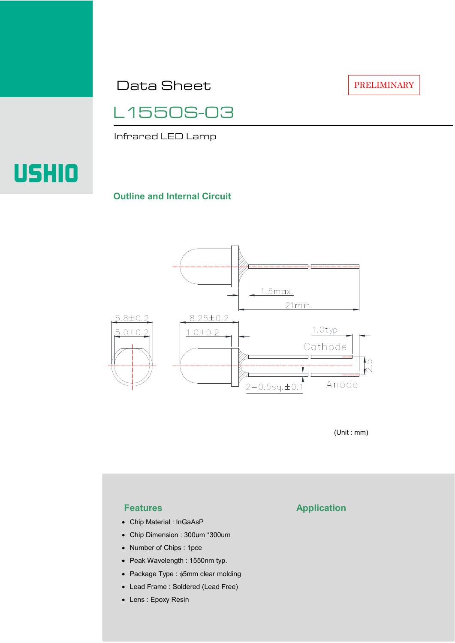Data Sheet

PRELIMINARY



Infrared LED Lamp

# USHIO

### **Outline and Internal Circuit**



(Unit : mm)

- Chip Material : InGaAsP
- Chip Dimension : 300um \*300um
- Number of Chips : 1pce
- Peak Wavelength : 1550nm typ.
- Package Type : φ5mm clear molding
- Lead Frame : Soldered (Lead Free)
- Lens : Epoxy Resin

## **Features Application**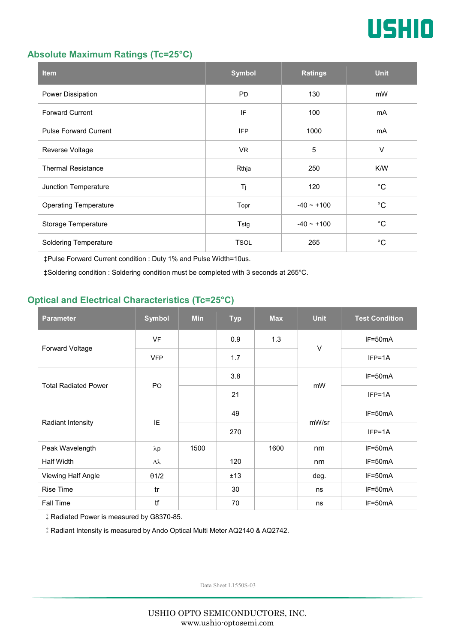

#### **Absolute Maximum Ratings (Tc=25°C)**

| <b>Item</b>                  | <b>Symbol</b> | <b>Ratings</b>  | <b>Unit</b> |
|------------------------------|---------------|-----------------|-------------|
| Power Dissipation            | <b>PD</b>     | 130             | mW          |
| <b>Forward Current</b>       | IF            | 100             | mA          |
| <b>Pulse Forward Current</b> | <b>IFP</b>    | 1000            | mA          |
| Reverse Voltage              | VR.           | $\overline{5}$  | $\vee$      |
| <b>Thermal Resistance</b>    | Rthja         | 250             | K/W         |
| Junction Temperature         | Tj            | 120             | $^{\circ}C$ |
| <b>Operating Temperature</b> | Topr          | $-40 \sim +100$ | $^{\circ}C$ |
| Storage Temperature          | Tstg          | $-40 - +100$    | $^{\circ}C$ |
| <b>Soldering Temperature</b> | <b>TSOL</b>   | 265             | $^{\circ}C$ |

‡Pulse Forward Current condition : Duty 1% and Pulse Width=10us.

‡Soldering condition : Soldering condition must be completed with 3 seconds at 265°C.

### **Optical and Electrical Characteristics (Tc=25°C)**

| <b>Parameter</b>            | <b>Symbol</b>    | <b>Min</b> | <b>Typ</b> | <b>Max</b> | <b>Unit</b> | <b>Test Condition</b> |
|-----------------------------|------------------|------------|------------|------------|-------------|-----------------------|
| Forward Voltage             | <b>VF</b>        |            | 0.9        | 1.3        | $\vee$      | IF=50mA               |
|                             | <b>VFP</b>       |            | 1.7        |            |             | $IFP=1A$              |
| <b>Total Radiated Power</b> | P <sub>O</sub>   |            | 3.8        |            | mW          | $IF=50mA$             |
|                             |                  |            | 21         |            |             | $IFP=1A$              |
| Radiant Intensity           | IE               |            | 49         |            | mW/sr       | $IF=50mA$             |
|                             |                  |            | 270        |            |             | $IFP=1A$              |
| Peak Wavelength             | $\lambda$ p      | 1500       |            | 1600       | nm          | $IF=50mA$             |
| <b>Half Width</b>           | $\Delta \lambda$ |            | 120        |            | nm          | $IF=50mA$             |
| Viewing Half Angle          | $\theta$ 1/2     |            | ±13        |            | deg.        | $IF=50mA$             |
| <b>Rise Time</b>            | tr               |            | 30         |            | ns          | $IF=50mA$             |
| Fall Time                   | tf               |            | 70         |            | ns          | $IF=50mA$             |

‡Radiated Power is measured by G8370-85.

‡Radiant Intensity is measured by Ando Optical Multi Meter AQ2140 & AQ2742.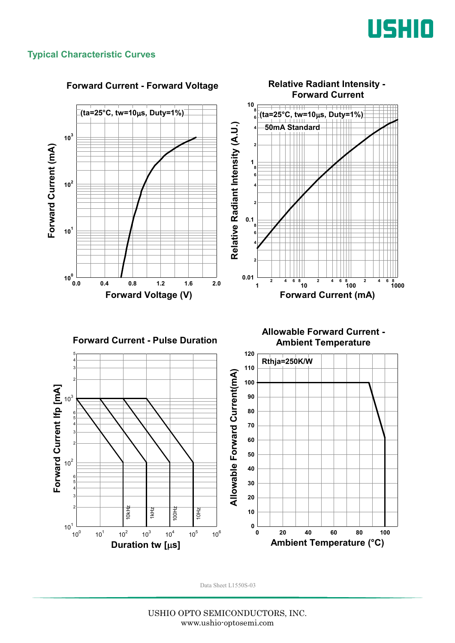

#### **Typical Characteristic Curves**

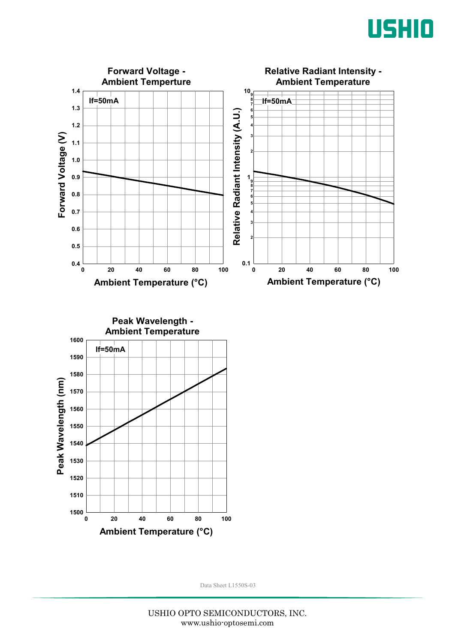



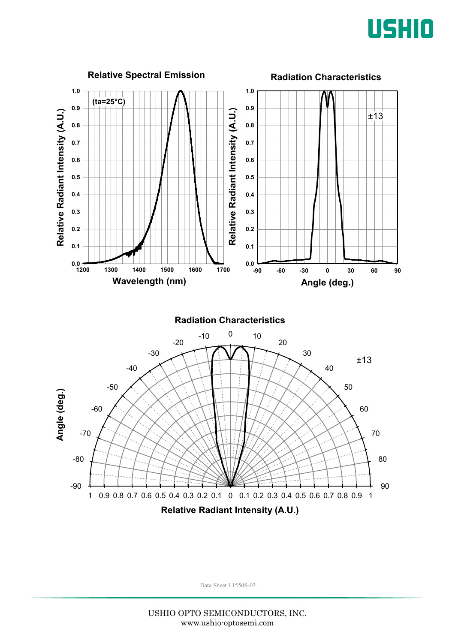